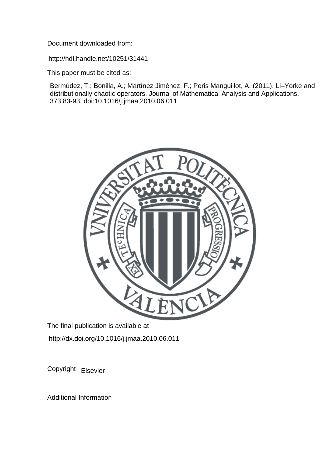Document downloaded from:

http://hdl.handle.net/10251/31441

This paper must be cited as:

Bermúdez, T.; Bonilla, A.; Martínez Jiménez, F.; Peris Manguillot, A. (2011). Li–Yorke and distributionally chaotic operators. Journal of Mathematical Analysis and Applications. 373:83-93. doi:10.1016/j.jmaa.2010.06.011



The final publication is available at http://dx.doi.org/10.1016/j.jmaa.2010.06.011

Copyright Elsevier

Additional Information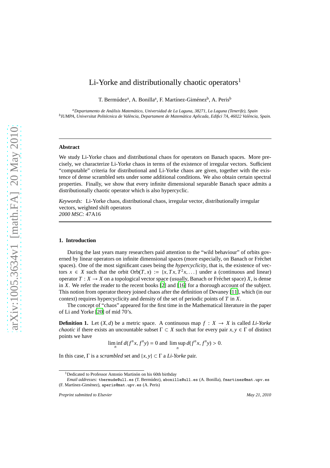# Li-Yorke and distributionally chaotic operators<sup>1</sup>

T. Bermúdez<sup>a</sup>, A. Bonilla<sup>a</sup>, F. Martínez-Giménez<sup>b</sup>, A. Peris<sup>b</sup>

*<sup>a</sup>Departamento de An´alisis Matem´atico, Universidad de La Laguna, 38271, La Laguna (Tenerife), Spain b IUMPA, Universitat Polit`ecnica de Val`encia, Departament de Matem`atica Aplicada, Edifici 7A, 46022 Val`encia, Spain.*

#### **Abstract**

We study Li-Yorke chaos and distributional chaos for operators on Banach spaces. More precisely, we characterize Li-Yorke chaos in terms of the existence of irregular vectors. Sufficient "computable" criteria for distributional and Li-Yorke chaos are given, together with the existence of dense scrambled sets under some additional conditions. We also obtain certain spectral properties. Finally, we show that every infinite dimensional separable Banach space admits a distributionally chaotic operator which is also hypercyclic.

*Keywords:* Li-Yorke chaos, distributional chaos, irregular vector, distributionally irregular vectors, weighted shift operators *2000 MSC:* 47A16

## **1. Introduction**

During the last years many researchers paid attention to the "wild behaviour" of orbits governed by linear operators on infinite dimensional spaces (more especially, on Banach or Fréchet spaces). One of the most significant cases being the *hypercyclicity*, that is, the existence of vectors  $x \in X$  such that the orbit  $Orb(T, x) := \{x, Tx, T^2x, ...\}$  under a (continuous and linear) operator  $T : X \to X$  on a topological vector space (usually, Banach or Fréchet space) X, is dense in *X*. We refer the reader to the recent books [\[2](#page-14-0)] and [\[16\]](#page-14-1) for a thorough account of the subject. This notion from operator theory joined chaos after the definition of Devaney [\[11\]](#page-14-2), which (in our context) requires hypercyclicity and density of the set of periodic points of *T* in *X*.

The concept of "chaos" appeared for the first time in the Mathematical literature in the paper of Li and Yorke [\[20\]](#page-14-3) of mid 70's.

**Definition 1.** Let  $(X, d)$  be a metric space. A continuous map  $f : X \to X$  is called *Li-Yorke chaotic* if there exists an uncountable subset  $\Gamma \subset X$  such that for every pair  $x, y \in \Gamma$  of distinct points we have

$$
\liminf_{n} d(f^{n}x, f^{n}y) = 0 \text{ and } \limsup_{n} d(f^{n}x, f^{n}y) > 0.
$$

In this case, Γ is a *scrambled* set and {*x*, *y*} ⊂ Γ a *Li-Yorke* pair.

<sup>&</sup>lt;sup>1</sup>Dedicated to Professor Antonio Martinón on his 60th birthday

*Email addresses:* tbermude@ull.es (T. Berm´udez), abonilla@ull.es (A. Bonilla), fmartinez@mat.upv.es (F. Martínez-Giménez), aperis@mat.upv.es (A. Peris)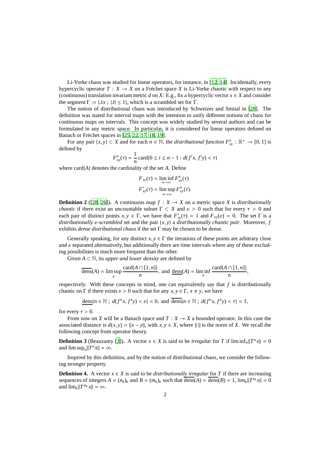Li-Yorke chaos was studied for linear operators, for instance, in [\[12](#page-14-4), [14](#page-14-5)]. Incidentally, every hypercyclic operator  $T : X \to X$  on a Fréchet space X is Li-Yorke chaotic with respect to any (continuous) translation invariant metric *d* on *X*: E.g., fix a hypercyclic vector  $x \in X$  and consider the segment  $\Gamma := \{ \lambda x : |\lambda| \leq 1 \}$ , which is a scrambled set for *T*.

The notion of distributional chaos was introduced by Schweizer and Smital in [\[28](#page-14-6)]. The definition was stated for interval maps with the intention to unify different notions of chaos for continuous maps on intervals. This concept was widely studied by several authors and can be formulated in any metric space. In particular, it is considered for linear operators defined on Banach or Fréchet spaces in [\[25,](#page-14-7) [22,](#page-14-8) [17,](#page-14-9) [18,](#page-14-10) [19\]](#page-14-11).

For any pair  $\{x, y\} \subset X$  and for each  $n \in \mathbb{N}$ , the *distributional function*  $F_{xy}^n : \mathbb{R}^+ \to [0, 1]$  is defined by

$$
F_{xy}^n(\tau) = \frac{1}{n} \operatorname{card} \{ 0 \le i \le n - 1 : d(f^i x, f^i y) < \tau \}
$$

where card{*A*} denotes the cardinality of the set *A*. Define

$$
F_{xy}(\tau) = \liminf_{n \to \infty} F_{xy}^n(\tau)
$$
  

$$
F_{xy}^*(\tau) = \limsup_{n \to \infty} F_{xy}^n(\tau).
$$

**Definition 2** ([\[28](#page-14-6), [26\]](#page-14-12)). A continuous map  $f : X \to X$  on a metric space *X* is *distributionally chaotic* if there exist an uncountable subset  $\Gamma \subset X$  and  $\varepsilon > 0$  such that for every  $\tau > 0$  and each pair of distinct points  $x, y \in \Gamma$ , we have that  $F_{xy}^*(\tau) = 1$  and  $F_{xy}(\varepsilon) = 0$ . The set  $\Gamma$  is a *distributionally* ε*-scrambled* set and the pair {*x*, *y*} a *distributionally chaotic pair*. Moreover, *f* exhibits *dense distributional chaos* if the set Γ may be chosen to be dense.

Generally speaking, for any distinct  $x, y \in \Gamma$  the iterations of these points are arbitrary close and  $\varepsilon$  separated alternatively, but additionally there are time intervals where any of these excluding possibilities is much more frequent than the other.

Given  $A \subset \mathbb{N}$ , its *upper and lower density* are defined by

$$
\overline{\text{dens}}(A) = \limsup_{n} \frac{\text{card}\{A \cap [1, n]\}}{n}, \text{ and } \underline{\text{dens}}(A) = \liminf_{n} \frac{\text{card}\{A \cap [1, n]\}}{n},
$$

respectively. With these concepts in mind, one can equivalently say that  $f$  is distributionally chaotic on  $\Gamma$  if there exists  $\varepsilon > 0$  such that for any  $x, y \in \Gamma$ ,  $x \neq y$ , we have

$$
\underline{\text{dens}}\{n \in \mathbb{N} \; ; \; d(f^n x, f^n y) < \varepsilon\} = 0, \text{ and } \overline{\text{dens}}\{n \in \mathbb{N} \; ; \; d(f^n x, f^n y) < \tau\} = 1,
$$

for every  $\tau > 0$ .

From now on *X* will be a Banach space and  $T : X \to X$  a bounded operator. In this case the associated distance is  $d(x, y) = ||x - y||$ , with  $x, y \in X$ , where  $||\cdot||$  is the norm of *X*. We recall the following concept from operator theory.

**Definition 3** (Beauzamy [\[3\]](#page-14-13)). A vector  $x \in X$  is said to be *irregular* for *T* if  $\liminf_n ||T^n x|| = 0$ and  $\limsup_n ||T^n x|| = \infty$ .

Inspired by this definition, and by the notion of distributional chaos, we consider the following stronger property.

**Definition 4.** A vector  $x \in X$  is said to be *distributionally irregular* for *T* if there are increasing sequences of integers  $A = (n_k)_k$  and  $B = (m_k)_k$  such that  $\overline{dens}(A) = \overline{dens}(B) = 1$ ,  $\lim_k ||T^{n_k}x|| = 0$ and  $\lim_{k} \|T^{m_k}x\| = \infty$ .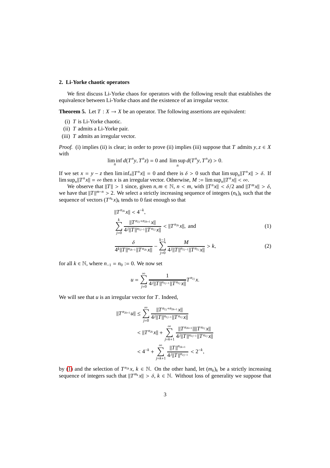# **2. Li-Yorke chaotic operators**

We first discuss Li-Yorke chaos for operators with the following result that establishes the equivalence between Li-Yorke chaos and the existence of an irregular vector.

<span id="page-3-2"></span>**Theorem 5.** Let  $T : X \to X$  be an operator. The following assertions are equivalent:

- (i) *T* is Li-Yorke chaotic.
- (ii) *T* admits a Li-Yorke pair.
- (iii) *T* admits an irregular vector.

*Proof.* (i) implies (ii) is clear; in order to prove (ii) implies (iii) suppose that *T* admits  $y, z \in X$ with

$$
\liminf_{n} d(T^n y, T^n z) = 0 \text{ and } \limsup_{n} d(T^n y, T^n z) > 0.
$$

If we set  $x = y - z$  then  $\liminf_n ||T^n x|| = 0$  and there is  $\delta > 0$  such that  $\limsup_n ||T^n x|| > \delta$ . If  $\limsup_n ||T^n x|| = \infty$  then *x* is an irregular vector. Otherwise,  $M := \limsup_n ||T^n x|| < \infty$ .

We observe that  $||T|| > 1$  since, given  $n, m \in \mathbb{N}$ ,  $n < m$ , with  $||T^n x|| < \delta/2$  and  $||T^m x|| > \delta$ , we have that  $||T||^{m-n} > 2$ . We select a strictly increasing sequence of integers  $(n_k)_k$  such that the sequence of vectors  $(T^{n_k}x)_k$  tends to 0 fast enough so that

$$
||T^{n_{2k}}x|| < 4^{-k},
$$
  
\n
$$
\sum_{j=0}^{k} \frac{||T^{n_{2j}+n_{2k+1}}x||}{4^{j}||T||^{n_{2j-1}}||T^{n_{2j}}x||} < ||T^{n_{2k}}x||, \text{ and } (1)
$$

$$
\frac{\delta}{4^k||T||^{n_{2k-1}}||T^{n_{2k}}x||} - \sum_{j=0}^{k-1} \frac{M}{4^j||T||^{n_{2j-1}}||T^{n_{2j}}x||} > k,
$$
\n(2)

for all  $k \in \mathbb{N}$ , where  $n_{-1} = n_0 := 0$ . We now set

<span id="page-3-1"></span><span id="page-3-0"></span>
$$
u=\sum_{j=0}^\infty \frac{1}{4^j\|T\|^{n_{2j-1}}\|T^{n_{2j}}x\|}T^{n_{2j}}x.
$$

We will see that *u* is an irregular vector for *T*. Indeed,

$$
||T^{n_{2k+1}}u|| \le \sum_{j=0}^{\infty} \frac{||T^{n_{2j}+n_{2k+1}}x||}{4^j ||T||^{n_{2j-1}} ||T^{n_{2j}}x||}
$$
  

$$
< ||T^{n_{2k}}x|| + \sum_{j=k+1}^{\infty} \frac{||T^{n_{2k+1}}|| ||T^{n_{2j}}x||}{4^j ||T||^{n_{2j-1}} ||T^{n_{2j}}x||}
$$
  

$$
< 4^{-k} + \sum_{j=k+1}^{\infty} \frac{||T||^{n_{2k+1}}}{4^j ||T||^{n_{2j-1}}} < 2^{-k},
$$

by [\(1\)](#page-3-0) and the selection of  $T^{n_{2k}}x$ ,  $k \in \mathbb{N}$ . On the other hand, let  $(m_k)_k$  be a strictly increasing sequence of integers such that  $||T^{m_k}x|| > \delta$ ,  $k \in \mathbb{N}$ . Without loss of generality we suppose that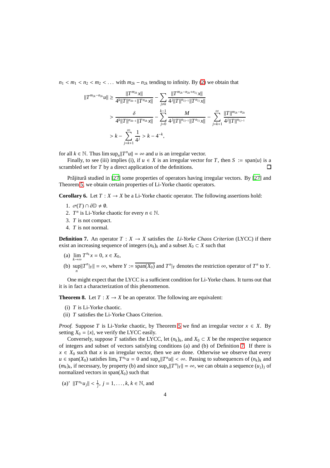$n_1 < m_1 < n_2 < m_2 < \ldots$  with  $m_{2k} - n_{2k}$  tending to infinity. By [\(2\)](#page-3-1) we obtain that

$$
||T^{m_{2k}-n_{2k}}u|| \geq \frac{||T^{m_{2k}}x||}{4^k||T||^{n_{2k-1}}||T^{n_{2k}}x||} - \sum_{j\neq k} \frac{||T^{m_{2k}-n_{2k}+n_{2j}}x||}{4^j||T||^{n_{2j-1}}||T^{n_{2j}}x||}
$$
  
> 
$$
\frac{\delta}{4^k||T||^{n_{2k-1}}||T^{n_{2k}}x||} - \sum_{j=0}^{k-1} \frac{M}{4^j||T||^{n_{2j-1}}||T^{n_{2j}}x||} - \sum_{j=k+1}^{\infty} \frac{||T||^{n_{2k}-n_{2k}}}{4^j||T||^{n_{2j-1}}}
$$
  
>  $k - \sum_{j=k+1}^{\infty} \frac{1}{4^j} > k - 4^{-k}$ ,

for all  $k \in \mathbb{N}$ . Thus  $\limsup_n ||T^n u|| = \infty$  and *u* is an irregular vector.

Finally, to see (iii) implies (i), if  $u \in X$  is an irregular vector for *T*, then  $S := \text{span}\{u\}$  is a scrambled set for *T* by a direct application of the definitions.  $\Box$ 

Prăjitură studied in [\[27](#page-14-14)] some properties of operators having irregular vectors. By [27] and Theorem [5,](#page-3-2) we obtain certain properties of Li-Yorke chaotic operators.

**Corollary 6.** Let  $T : X \to X$  be a Li-Yorke chaotic operator. The following assertions hold:

- 1.  $\sigma(T) \cap \partial \mathbb{D} \neq \emptyset$ .
- 2. *T*<sup>*n*</sup> is Li-Yorke chaotic for every  $n \in \mathbb{N}$ .
- 3. *T* is not compact.
- 4. *T* is not normal.

<span id="page-4-0"></span>**Definition 7.** An operator  $T : X \to X$  satisfies the *Li-Yorke Chaos Criterion* (LYCC) if there exist an increasing sequence of integers  $(n_k)_k$  and a subset  $X_0 \subset X$  such that

- (a)  $\lim_{k \to \infty} T^{n_k} x = 0, x \in X_0$ ,
- (b)  $\sup_n ||T^n|_Y || = \infty$ , where  $Y := \overline{\text{span}(X_0)}$  and  $T^n|_Y$  denotes the restriction operator of  $T^n$  to  $Y$ .

One might expect that the LYCC is a sufficient condition for Li-Yorke chaos. It turns out that it is in fact a characterization of this phenomenon.

<span id="page-4-1"></span>**Theorem 8.** Let  $T : X \to X$  be an operator. The following are equivalent:

- (i) *T* is Li-Yorke chaotic.
- (ii) *T* satisfies the Li-Yorke Chaos Criterion.

*Proof.* Suppose *T* is Li-Yorke chaotic, by Theorem [5](#page-3-2) we find an irregular vector  $x \in X$ . By setting  $X_0 = \{x\}$ , we verify the LYCC easily.

Conversely, suppose *T* satisfies the LYCC, let  $(n_k)_k$ , and  $X_0 \subset X$  be the respective sequence of integers and subset of vectors satisfying conditions (a) and (b) of Definition [7.](#page-4-0) If there is  $x \in X_0$  such that *x* is an irregular vector, then we are done. Otherwise we observe that every  $u \in \text{span}(X_0)$  satisfies  $\lim_k T^{n_k}u = 0$  and  $\sup_n ||T^n u|| < \infty$ . Passing to subsequences of  $(n_k)_k$  and  $(m_k)_k$ , if necessary, by property (b) and since  $\sup_n ||T^n|_Y || = \infty$ , we can obtain a sequence  $(u_j)_j$  of normalized vectors in  $\text{span}(X_0)$  such that

(a)'  $||T^{n_k}u_j|| < \frac{1}{j}, j = 1, ..., k, k \in \mathbb{N}$ , and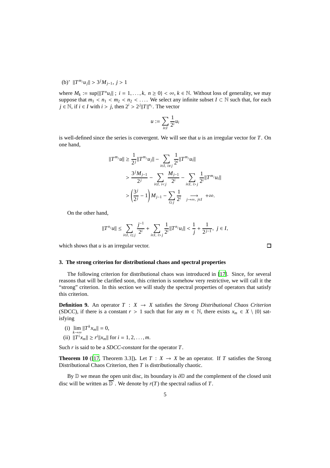# (b)<sup>*'*</sup>  $||T^{m_j}u_j|| > 3^jM_{j-1}, j > 1$

where  $M_k := \sup\{\|T^n u_i\|; i = 1, \ldots, k, n \ge 0\} < \infty, k \in \mathbb{N}$ . Without loss of generality, we may suppose that  $m_1 < n_1 < m_2 < n_2 < \ldots$ . We select any infinite subset  $I \subset \mathbb{N}$  such that, for each *j* ∈ N, if *i* ∈ *I* with *i* > *j*, then  $2^{i}$  >  $2^{j}$ ||*T*||<sup>*n*<sub>*j*</sub>. The vector</sup>

$$
u:=\sum_{i\in I}\frac{1}{2^i}u_i
$$

is well-defined since the series is convergent. We will see that *u* is an irregular vector for *T*. On one hand,

$$
||T^{m_j}u|| \ge \frac{1}{2^j}||T^{m_j}u_j|| - \sum_{i \in I, i \ne j} \frac{1}{2^i}||T^{m_j}u_i||
$$
  
> 
$$
\frac{3^jM_{j-1}}{2^j} - \sum_{i \in I, i < j} \frac{M_{j-1}}{2^i} - \sum_{i \in I, i > j} \frac{1}{2^i}||T^{m_j}u_i||
$$
  
> 
$$
\left(\frac{3^j}{2^j} - 1\right)M_{j-1} - \sum_{i \ge j} \frac{1}{2^i} \xrightarrow{j \to \infty, j \in I} + \infty.
$$

On the other hand,

$$
||T^{n_j}u||\leq \sum_{i\in I,\ i\leq j}\frac{j^{-1}}{2^i}+\sum_{i\in I,\ i>j}\frac{1}{2^i}||T^{n_j}u_i||<\frac{1}{j}+\frac{1}{2^{j-1}},\ j\in I,
$$

which shows that *u* is an irregular vector.

### <span id="page-5-0"></span>**3. The strong criterion for distributional chaos and spectral properties**

The following criterion for distributional chaos was introduced in [\[17](#page-14-9)]. Since, for several reasons that will be clarified soon, this criterion is somehow very restrictive, we will call it the "strong" criterion. In this section we will study the spectral properties of operators that satisfy this criterion.

**Definition 9.** An operator  $T : X \rightarrow X$  satisfies the *Strong Distributional Chaos Criterion* (SDCC), if there is a constant  $r > 1$  such that for any  $m \in \mathbb{N}$ , there exists  $x_m \in X \setminus \{0\}$  satisfying

- (i)  $\lim_{k \to \infty} ||T^k x_m|| = 0,$
- (ii)  $||T^i x_m|| \geq r^i ||x_m||$  for  $i = 1, 2, ..., m$ .

Such *r* is said to be a *SDCC-constant* for the operator *T*.

**Theorem 10** ([\[17,](#page-14-9) Theorem 3.3]). Let  $T : X \to X$  be an operator. If *T* satisfies the Strong Distributional Chaos Criterion, then *T* is distributionally chaotic.

By  $D$  we mean the open unit disc, its boundary is  $\partial D$  and the complement of the closed unit disc will be written as  $\overline{\mathbb{D}}^c$ . We denote by  $r(T)$  the spectral radius of *T*.

 $\Box$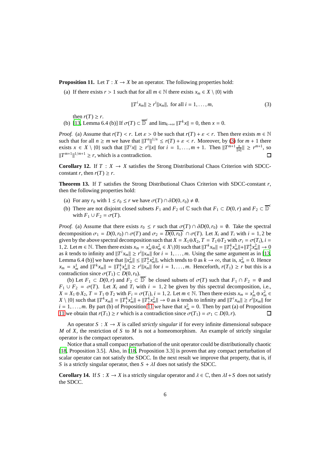<span id="page-6-1"></span>**Proposition 11.** Let  $T : X \to X$  be an operator. The following properties hold:

(a) If there exists  $r > 1$  such that for all  $m \in \mathbb{N}$  there exists  $x_m \in X \setminus \{0\}$  with

<span id="page-6-0"></span>
$$
||T^ix_m|| \ge r^i ||x_m||, \text{ for all } i = 1, ..., m,
$$
 (3)

then  $r(T) \geq r$ .

(b) [\[13,](#page-14-15) Lemma 6.4 (b)] If  $\sigma(T) \subset \overline{\mathbb{D}}^c$  and  $\lim_{k \to \infty} ||T^k x|| = 0$ , then  $x = 0$ .

*Proof.* (a) Assume that  $r(T) < r$ . Let  $\varepsilon > 0$  be such that  $r(T) + \varepsilon < r$ . Then there exists  $m \in \mathbb{N}$ such that for all  $n \ge m$  we have that  $||T^n||^{1/n} \le r(T) + \varepsilon < r$ . Moreover, by [\(3\)](#page-6-0) for  $m + 1$  there exists *x* ∈ *X* \ {0} such that  $||T^i x|| \ge r^i ||x||$  for  $i = 1, ..., m + 1$ . Then  $||T^{m+1} \frac{x}{||x||} || \ge r^{m+1}$ , so  $||T^{m+1}||^{1/m+1} \ge r$ , which is a contradiction.  $\Box$ 

**Corollary 12.** If  $T : X \to X$  satisfies the Strong Distributional Chaos Criterion with SDCCconstant *r*, then  $r(T) \ge r$ .

<span id="page-6-2"></span>**Theorem 13.** If *T* satisfies the Strong Distributional Chaos Criterion with SDCC-constant *r*, then the following properties hold:

- (a) For any  $r_0$  with  $1 \le r_0 \le r$  we have  $\sigma(T) \cap \partial D(0, r_0) \ne \emptyset$ .
- (b) There are not disjoint closed subsets  $F_1$  and  $F_2$  of  $\mathbb C$  such that  $F_1 \subset D(0,r)$  and  $F_2 \subset \overline{\mathbb D}^c$ with  $F_1 \cup F_2 = \sigma(T)$ .

*Proof.* (a) Assume that there exists  $r_0 \le r$  such that  $\sigma(T) \cap \partial D(0, r_0) = \emptyset$ . Take the spectral decomposition  $\sigma_1 = D(0, r_0) \cap \sigma(T)$  and  $\sigma_2 = \overline{D(0, r_0)}^c \cap \sigma(T)$ . Let  $X_i$  and  $T_i$  with  $i = 1, 2$  be given by the above spectral decomposition such that  $X = X_1 \oplus X_2$ ,  $T = T_1 \oplus T_2$  with  $\sigma_i = \sigma(T_i)$ ,  $i =$ 1, 2. Let  $m \in \mathbb{N}$ . Then there exists  $x_m = x_m^1 \oplus x_m^2 \in X \setminus \{0\}$  such that  $||T^k x_m|| = ||T_1^k x_m^1|| + ||T_2^k x_m^2|| \to 0$ as *k* tends to infinity and  $||T^i x_m|| \ge r^i ||x_m||$  for  $i = 1, ..., m$ . Using the same argument as in [\[13,](#page-14-15) Lemma 6.4 (b)] we have that  $||x_m^2|| \le ||T_2^k x_m^2||$ , which tends to 0 as  $k \to \infty$ , that is,  $x_m^2 = 0$ . Hence  $x_m = x_m^1$  and  $||T^k x_m|| = ||T_1^k x_m^1|| \ge r^i ||x_m||$  for  $i = 1, ..., m$ . Henceforth,  $r(T_1) \ge r$  but this is a contradiction since  $\sigma(T_1) \subset D(0, r_0)$ .

(b) Let  $F_1 \subset D(0,r)$  and  $F_2 \subset \overline{D}^c$  be closed subsets of  $\sigma(T)$  such that  $F_1 \cap F_2 = \emptyset$  and  $F_1 \cup F_2 = \sigma(T)$ . Let  $X_i$  and  $T_i$  with  $i = 1, 2$  be given by this spectral decomposition, i.e.,  $X = X_1 \oplus X_2$ ,  $T = T_1 \oplus T_2$  with  $F_i = \sigma(T_i)$ ,  $i = 1, 2$ . Let  $m \in \mathbb{N}$ . Then there exists  $x_m = x_m^1 \oplus x_m^2 \in$  $X \setminus \{0\}$  such that  $||T^k x_m|| = ||T_1^k x_m^1|| + ||T_2^k x_m^2|| \to 0$  as k tends to infinity and  $||T^i x_m|| \ge r^i ||x_m||$  for  $i = 1, \ldots, m$ . By part (b) of Proposition [11](#page-6-1) we have that  $x_m^2 = 0$ . Then by part (a) of Proposition [11](#page-6-1) we obtain that  $r(T_1) \ge r$  which is a contradiction since  $\sigma(T_1) = \sigma_1 \subset D(0, r)$ .  $\Box$ 

An operator  $S: X \to X$  is called *strictly singular* if for every infinite dimensional subspace *M* of *X*, the restriction of *S* to *M* is not a homeomorphism. An example of strictly singular operator is the compact operators.

Notice that a small compact perturbation of the unit operator could be distributionally chaotic [\[18,](#page-14-10) Proposition 3.5]. Also, in [\[18,](#page-14-10) Proposition 3.3] is proven that any compact perturbation of scalar operator can not satisfy the SDCC. In the next result we improve that property, that is, if *S* is a strictly singular operator, then  $S + \lambda I$  does not satisfy the SDCC.

**Corollary 14.** If  $S : X \to X$  is a strictly singular operator and  $\lambda \in \mathbb{C}$ , then  $\lambda I + S$  does not satisfy the SDCC.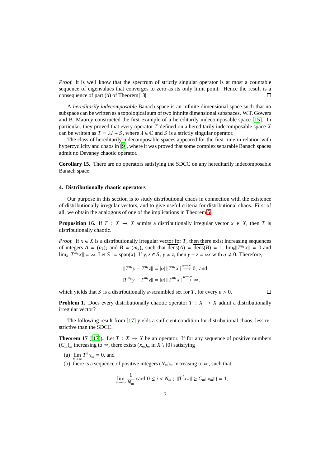*Proof.* It is well know that the spectrum of strictly singular operator is at most a countable sequence of eigenvalues that converges to zero as its only limit point. Hence the result is a consequence of part (b) of Theorem [13.](#page-6-2)  $\Box$ 

A *hereditarily indecomposable* Banach space is an infinite dimensional space such that no subspace can be written as a topological sum of two infinite dimensional subspaces. W.T. Gowers and B. Maurey constructed the first example of a hereditarily indecomposable space [\[15\]](#page-14-16). In particular, they proved that every operator *T* defined on a hereditarily indecomposable space *X* can be written as  $T = \lambda I + S$ , where  $\lambda \in \mathbb{C}$  and *S* is a strictly singular operator.

The class of hereditarily indecomposable spaces appeared for the first time in relation with hypercyclicity and chaos in [\[9](#page-14-17)], where it was proved that some complex separable Banach spaces admit no Devaney chaotic operator.

**Corollary 15.** There are no operators satisfying the SDCC on any hereditarily indecomposable Banach space.

### **4. Distributionally chaotic operators**

Our purpose in this section is to study distributional chaos in connection with the existence of distributionally irregular vectors, and to give useful criteria for distributional chaos. First of all, we obtain the analogous of one of the implications in Theorem [5.](#page-3-2)

<span id="page-7-1"></span>**Proposition 16.** If  $T : X \to X$  admits a distributionally irregular vector  $x \in X$ , then *T* is distributionally chaotic.

*Proof.* If  $x \in X$  is a distributionally irregular vector for *T*, then there exist increasing sequences of integers  $A = (n_k)_k$  and  $B = (m_k)_k$  such that  $\overline{dens}(A) = \overline{dens}(B) = 1$ ,  $\lim_k ||T^{n_k}x|| = 0$  and  $\lim_{k} \|T^{m_k}x\| = \infty$ . Let  $S := \text{span}\{x\}$ . If  $y, z \in S$ ,  $y \neq z$ , then  $y - z = \alpha x$  with  $\alpha \neq 0$ . Therefore,

$$
||T^{n_k}y - T^{n_k}z|| = |\alpha| ||T^{n_k}x|| \stackrel{k \to \infty}{\longrightarrow} 0, \text{ and}
$$
  

$$
||T^{m_k}y - T^{m_k}z|| = |\alpha| ||T^{m_k}x|| \stackrel{k \to \infty}{\longrightarrow} \infty,
$$

which yields that *S* is a distributionally *ε*-scrambled set for *T*, for every  $\varepsilon > 0$ .

 $\Box$ 

**Problem 1.** Does every distributionally chaotic operator  $T : X \rightarrow X$  admit a distributionally irregular vector?

The following result from [\[17\]](#page-14-9) yields a sufficient condition for distributional chaos, less restrictive than the SDCC.

<span id="page-7-0"></span>**Theorem 17** ([\[17\]](#page-14-9)). Let  $T: X \to X$  be an operator. If for any sequence of positive numbers  $(C_m)$ <sup>*m*</sup> increasing to ∞, there exists  $(x_m)$ <sub>*m*</sub> in *X* \ {0} satisfying

- (a)  $\lim_{n \to \infty} T^n x_m = 0$ , and
- (b) there is a sequence of positive integers  $(N_m)_m$  increasing to  $\infty$ , such that

$$
\lim_{m \to \infty} \frac{1}{N_m} \operatorname{card} \{ 0 \le i < N_m ; \ \|T^i x_m\| \ge C_m \|x_m\|\} = 1,
$$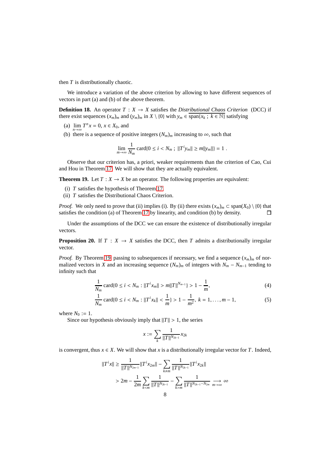then *T* is distributionally chaotic.

We introduce a variation of the above criterion by allowing to have different sequences of vectors in part (a) and (b) of the above theorem.

**Definition 18.** An operator  $T : X \to X$  satisfies the *Distributional Chaos Criterion* (DCC) if there exist sequences  $(x_m)_m$  and  $(y_m)_m$  in  $X \setminus \{0\}$  with  $y_m \in \text{span}\{x_k : k \in \mathbb{N}\}\$  satisfying

- (a)  $\lim_{n \to \infty} T^n x = 0, x \in X_0$ , and
- (b) there is a sequence of positive integers  $(N_m)_m$  increasing to  $\infty$ , such that

$$
\lim_{m \to \infty} \frac{1}{N_m} \operatorname{card} \{ 0 \le i < N_m ; \ ||T^i y_m|| \ge m ||y_m|| \} = 1 .
$$

Observe that our criterion has, a priori, weaker requirements than the criterion of Cao, Cui and Hou in Theorem [17.](#page-7-0) We will show that they are actually equivalent.

<span id="page-8-0"></span>**Theorem 19.** Let  $T : X \to X$  be an operator. The following properties are equivalent:

- (i) *T* satisfies the hypothesis of Theorem [17.](#page-7-0)
- (ii) *T* satisfies the Distributional Chaos Criterion.

*Proof.* We only need to prove that (ii) implies (i). By (ii) there exists  $(x_m)_m \subset \text{span}(X_0) \setminus \{0\}$  that satisfies the condition (a) of Theorem [17](#page-7-0) by linearity, and condition (b) by density.  $\Box$ 

Under the assumptions of the DCC we can ensure the existence of distributionally irregular vectors.

<span id="page-8-3"></span>**Proposition 20.** If  $T : X \to X$  satisfies the DCC, then *T* admits a distributionally irregular vector.

*Proof.* By Theorem [19,](#page-8-0) passing to subsequences if necessary, we find a sequence  $(x_m)_m$  of normalized vectors in *X* and an increasing sequence  $(N_m)_m$  of integers with  $N_m - N_{m-1}$  tending to infinity such that

$$
\frac{1}{N_m} \operatorname{card} \{ 0 \le i < N_m : ||T^i x_m|| > m||T||^{N_{m-1}} \} > 1 - \frac{1}{m},\tag{4}
$$

$$
\frac{1}{N_m} \operatorname{card} \{ 0 \le i < N_m : ||T^i x_k|| < \frac{1}{m} \} > 1 - \frac{1}{m^2}, \ k = 1, \dots, m - 1,\tag{5}
$$

where  $N_0 := 1$ .

Since our hypothesis obviously imply that  $||T|| > 1$ , the series

<span id="page-8-2"></span><span id="page-8-1"></span>
$$
x := \sum_{k} \frac{1}{\|T\|^{N_{2k-1}}} x_{2k}
$$

is convergent, thus  $x \in X$ . We will show that *x* is a distributionally irregular vector for *T*. Indeed,

$$
||T^{i}x|| \ge \frac{1}{||T||^{N_{2m-1}}}||T^{i}x_{2m}|| - \sum_{k \ne m} \frac{1}{||T||^{N_{2k-1}}}||T^{i}x_{2k}||
$$
  
>  $2m - \frac{1}{2m} \sum_{k \le m} \frac{1}{||T||^{N_{2k-1}}} - \sum_{k>m} \frac{1}{||T||^{N_{2k-1}-N_{2m}}} \xrightarrow[m \to \infty]{} \infty$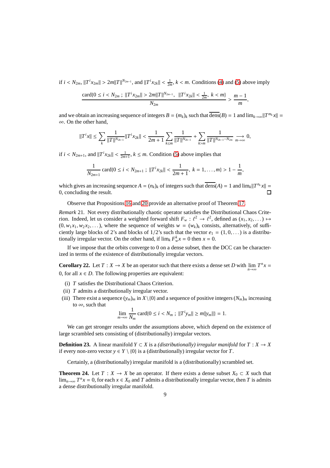if  $i < N_{2m}$ ,  $||T^i x_{2m}|| > 2m||T||^{N_{2m-1}}$ , and  $||T^i x_{2k}|| < \frac{1}{2m}$ ,  $k < m$ . Conditions [\(4\)](#page-8-1) and [\(5\)](#page-8-2) above imply

$$
\frac{\text{card}\{0 \leq i < N_{2m} \; ; \; \|T^ix_{2m}\| > 2m\|T\|^{N_{2m-1}}, \; \|T^ix_{2k}\| < \frac{1}{2m}, \; k < m\}}{N_{2m}},
$$

and we obtain an increasing sequence of integers  $B = (m_k)_k$  such that  $\overline{dens}(B) = 1$  and  $\lim_{k\to\infty}||T^{m_k}x|| =$ ∞. On the other hand,

$$
||T^ix|| \leq \sum_{k} \frac{1}{||T||^{N_{2k-1}}} ||T^ix_{2k}|| < \frac{1}{2m+1} \sum_{k \leq m} \frac{1}{||T||^{N_{2k-1}}} + \sum_{k > m} \frac{1}{||T||^{N_{2k-1}-N_{2m}}} \xrightarrow[m \to \infty]{} 0,
$$

if  $i < N_{2m+1}$ , and  $||T^i x_{2k}|| < \frac{1}{2m+1}$ ,  $k \leq m$ . Condition [\(5\)](#page-8-2) above implies that

$$
\frac{1}{N_{2m+1}}\operatorname{card}\{0 \leq i < N_{2m+1} \; ; \; \|T^ix_{2k}\| < \frac{1}{2m+1}, \; k = 1, \ldots, m\} > 1 - \frac{1}{m},
$$

which gives an increasing sequence  $A = (n_k)_k$  of integers such that  $\overline{dens}(A) = 1$  and  $\lim_k ||T^{n_k}x|| =$ 0, concluding the result.  $\Box$ 

Observe that Propositions [16](#page-7-1) and [20](#page-8-3) provide an alternative proof of Theorem [17.](#page-7-0)

*Remark* 21*.* Not every distributionally chaotic operator satisfies the Distributional Chaos Criterion. Indeed, let us consider a weighted forward shift  $F_w$ :  $\ell^2 \to \ell^2$ , defined as  $(x_1, x_2, ...) \mapsto$  $(0, w_1 x_1, w_2 x_2, \ldots)$ , where the sequence of weights  $w = (w_k)_k$  consists, alternatively, of sufficiently large blocks of 2's and blocks of  $1/2$ 's such that the vector  $e_1 = (1, 0, ...)$  is a distributionally irregular vector. On the other hand, if  $\lim_{k} F_w^k x = 0$  then  $x = 0$ .

If we impose that the orbits converge to 0 on a dense subset, then the DCC can be characterized in terms of the existence of distributionally irregular vectors.

<span id="page-9-1"></span>**Corollary 22.** Let  $T : X \to X$  be an operator such that there exists a dense set *D* with  $\lim_{n\to\infty} T^n x =$ 0, for all  $x \in D$ . The following properties are equivalent:

- (i) *T* satisfies the Distributional Chaos Criterion.
- (ii) *T* admits a distributionally irregular vector.
- (iii) There exist a sequence  $(y_m)_m$  in  $X\setminus\{0\}$  and a sequence of positive integers  $(N_m)_m$  increasing to  $\infty$ , such that

$$
\lim_{m \to \infty} \frac{1}{N_m} \operatorname{card} \{ 0 \le i < N_m ; \ \|T^i y_m\| \ge m \|y_m\| \} = 1.
$$

We can get stronger results under the assumptions above, which depend on the existence of large scrambled sets consisting of (distributionally) irregular vectors.

**Definition 23.** A linear manifold *Y* ⊂ *X* is a *(distributionally) irregular manifold* for  $T : X \to X$ if every non-zero vector  $y \in Y \setminus \{0\}$  is a (distributionally) irregular vector for *T*.

Certainly, a (distributionally) irregular manifold is a (distributionally) scrambled set.

<span id="page-9-0"></span>**Theorem 24.** Let  $T : X \to X$  be an operator. If there exists a dense subset  $X_0 \subset X$  such that lim<sub>*n*→∞</sub>  $T^n x = 0$ , for each  $x \in X_0$  and  $T$  admits a distributionally irregular vector, then  $T$  is admits a dense distributionally irregular manifold.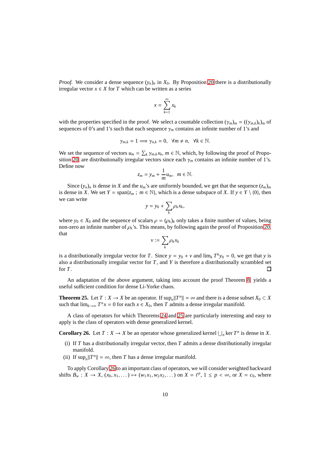*Proof.* We consider a dense sequence  $(y_n)_n$  in  $X_0$ . By Proposition [20](#page-8-3) there is a distributionally irregular vector  $x \in X$  for *T* which can be written as a series

$$
x = \sum_{k=1}^{\infty} x_k
$$

with the properties specified in the proof. We select a countable collection  $(\gamma_m)_m = ((\gamma_{m,k})_k)_m$  of sequences of 0's and 1's such that each sequence  $\gamma_m$  contains an infinite number of 1's and

$$
\gamma_{m,k}=1\Longrightarrow \gamma_{n,k}=0,\ \forall m\neq n,\ \forall k\in\mathbb{N}.
$$

We set the sequence of vectors  $u_m = \sum_k \gamma_{m,k} x_k$ ,  $m \in \mathbb{N}$ , which, by following the proof of Propo-sition [20,](#page-8-3) are distributionally irregular vectors since each  $\gamma_m$  contains an infinite number of 1's. Define now

$$
z_m = y_m + \frac{1}{m}u_m, \ \ m \in \mathbb{N}.
$$

Since  $(y_n)_n$  is dense in *X* and the  $u_m$ 's are uniformly bounded, we get that the sequence  $(z_m)_m$ is dense in *X*. We set  $Y = \text{span}\{z_m : m \in \mathbb{N}\}\$ , which is a dense subspace of *X*. If  $y \in Y \setminus \{0\}$ , then we can write

$$
y = y_0 + \sum_k \rho_k x_k,
$$

where  $y_0 \in X_0$  and the sequence of scalars  $\rho = (\rho_k)_k$  only takes a finite number of values, being non-zero an infinite number of  $\rho_k$ 's. This means, by following again the proof of Proposition [20,](#page-8-3) that

$$
v:=\sum_k \rho_k x_k
$$

is a distributionally irregular vector for *T*. Since  $y = y_0 + v$  and  $\lim_k T^k y_0 = 0$ , we get that *y* is also a distributionally irregular vector for *T*, and *Y* is therefore a distributionally scrambled set for *T*. П

An adaptation of the above argument, taking into account the proof Theorem [8,](#page-4-1) yields a useful sufficient condition for dense Li-Yorke chaos.

<span id="page-10-0"></span>**Theorem 25.** Let  $T : X \to X$  be an operator. If  $\sup_n ||T^n|| = \infty$  and there is a dense subset  $X_0 \subset X$ such that  $\lim_{k\to\infty} T^n x = 0$  for each  $x \in X_0$ , then *T* admits a dense irregular manifold.

A class of operators for which Theorems [24](#page-9-0) and [25](#page-10-0) are particularly interesting and easy to apply is the class of operators with dense generalized kernel.

<span id="page-10-1"></span>**Corollary 26.** Let  $T : X \to X$  be an operator whose generalized kernel  $\bigcup_n \text{ker } T^n$  is dense in *X*.

- (i) If *T* has a distributionally irregular vector, then *T* admits a dense distributionally irregular manifold.
- (ii) If  $\sup_n ||T^n|| = \infty$ , then *T* has a dense irregular manifold.

To apply Corollary [26](#page-10-1) to an important class of operators, we will consider weighted backward shifts  $B_w$  :  $X \to X$ ,  $(x_0, x_1, \dots) \mapsto (w_1 x_1, w_2 x_2, \dots)$  on  $X = \ell^p$ ,  $1 \le p < \infty$ , or  $X = c_0$ , where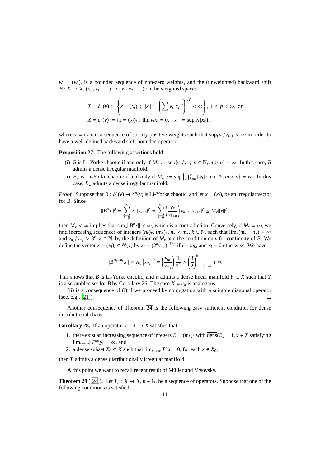$w = (w_i)_i$  is a bounded sequence of non-zero weights, and the (unweighted) backward shift  $B: X \to X$ ,  $(x_0, x_1, \ldots) \mapsto (x_1, x_2, \ldots)$  on the weighted spaces

$$
X = \ell^{p}(v) := \left\{ x = (x_{i})_{i} ; ||x|| := \left( \sum_{i} v_{i} |x_{i}|^{p} \right)^{1/p} < \infty \right\}, 1 \le p < \infty, \text{ or}
$$
  

$$
X = c_{0}(v) := \{ x = (x_{i})_{i} ; \lim_{i} v_{i} x_{i} = 0, ||x|| := \sup_{i} v_{i} |x_{i}| \},
$$

where  $v = (v_i)_i$  is a sequence of strictly positive weights such that  $\sup_i v_i/v_{i+1} < \infty$  in order to have a well-defined backward shift bounded operator.

**Proposition 27.** The following assertions hold:

- (i) *B* is Li-Yorke chaotic if and only if  $M_v := \sup\{v_n/v_m; n \in \mathbb{N}, m > n\} = \infty$ . In this case, *B* admits a dense irregular manifold.
- (ii)  $B_w$  is Li-Yorke chaotic if and only if  $M_w := \sup \{ \prod_{k=n}^m |w_k| : n \in \mathbb{N}, m > n \} = \infty$ . In this case, *B<sup>w</sup>* admits a dense irregular manifold.

*Proof.* Suppose that  $B: \ell^p(v) \to \ell^p(v)$  is Li-Yorke chaotic, and let  $x = (x_i)_i$  be an irregular vector for *B*. Since

$$
||B^{n}x||^{p} = \sum_{k=0}^{\infty} v_{k} |x_{k+n}|^{p} = \sum_{k=0}^{\infty} \left(\frac{v_{k}}{v_{k+n}}\right) v_{k+n} |x_{k+n}|^{p} \le M_{\nu} ||x||^{p},
$$

then  $M_v < \infty$  implies that  $\sup_n ||B^n x|| < \infty$ , which is a contradiction. Conversely, if  $M_v = \infty$ , we find increasing sequences of integers  $(n_k)_k$ ,  $(m_k)_k$ ,  $n_k < m_k$ ,  $k \in \mathbb{N}$ , such that  $\lim_k (m_k - n_k) = \infty$ and  $v_{n_k}/v_{m_k} > 3^k$ ,  $k \in \mathbb{N}$ , by the definition of  $M_\nu$  and the condition on  $\nu$  for continuity of *B*. We define the vector  $x = (x_i)_i \in \ell^p(v)$  by  $x_i = (2^k v_{m_k})^{-1/p}$  if  $i = m_k$ , and  $x_i = 0$  otherwise. We have

$$
||B^{m_k-n_k}x|| \geq v_{n_k} |x_{m_k}|^p = \left(\frac{v_{n_k}}{v_{m_k}}\right) \frac{1}{2^k} > \left(\frac{3}{2}\right)^k \xrightarrow[k \to \infty]{} + \infty.
$$

This shows that *B* is Li-Yorke chaotic, and it admits a dense linear manifold  $Y \subset X$  such that *Y* is a scrambled set for *B* by Corollary [26.](#page-10-1) The case  $X = c_0$  is analogous.

(ii) is a consequence of (i) if we proceed by conjugation with a suitable diagonal operator (see, e.g., [\[21](#page-14-18)]).  $\Box$ 

Another consequence of Theorem [24](#page-9-0) is the following easy sufficient condition for dense distributional chaos.

<span id="page-11-0"></span>**Corollary 28.** If an operator  $T : X \to X$  satisfies that

- 1. there exist an increasing sequence of integers  $B = (m_k)_k$  with  $\overline{\text{dens}}(B) = 1$ ,  $y \in X$  satisfying  $\lim_{k\to\infty}$   $||T^{m_k}y|| = \infty$ , and
- 2. a dense subset  $X_0 \subset X$  such that  $\lim_{n \to \infty} T^n x = 0$ , for each  $x \in X_0$ ,

then *T* admits a dense distributionally irregular manifold.

A this point we want to recall recent result of Müller and Vrsovsky.

<span id="page-11-1"></span>**Theorem 29** ([\[24](#page-14-19)]). Let  $T_n : X \to X$ ,  $n \in \mathbb{N}$ , be a sequence of operators. Suppose that one of the following conditions is satisfied: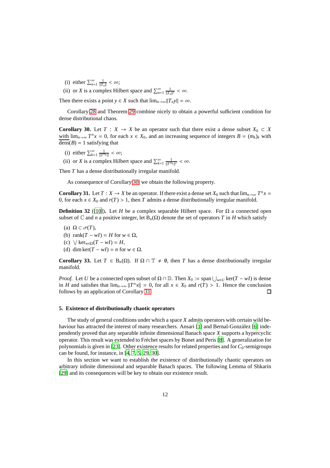- (i) either  $\sum_{n=1}^{\infty} \frac{1}{\|T_n\|} < \infty$ ;
- (ii) or *X* is a complex Hilbert space and  $\sum_{n=1}^{\infty} \frac{1}{||T_n||^2} < \infty$ .

Then there exists a point  $y \in X$  such that  $\lim_{n\to\infty}||T_n y|| = \infty$ .

Corollary [28](#page-11-0) and Theorem [29](#page-11-1) combine nicely to obtain a powerful sufficient condition for dense distributional chaos.

<span id="page-12-0"></span>**Corollary 30.** Let  $T : X \to X$  be an operator such that there exist a dense subset  $X_0 \subset X$ with  $\lim_{n\to\infty} T^n x = 0$ , for each  $x \in X_0$ , and an increasing sequence of integers  $B = (m_k)_k$  with  $\overline{\text{dens}}(B) = 1$  satisfying that

- (i) either  $\sum_{k=1}^{\infty} \frac{1}{\|T^{m_k}\|} < \infty;$
- (ii) or *X* is a complex Hilbert space and  $\sum_{k=1}^{\infty} \frac{1}{\|T^{m_k}\|^2} < \infty$ .

Then *T* has a dense distributionally irregular manifold.

As consequence of Corollary [30,](#page-12-0) we obtain the following property.

<span id="page-12-1"></span>**Corollary 31.** Let  $T : X \to X$  be an operator. If there exist a dense set  $X_0$  such that  $\lim_{n\to\infty} T^n x =$ 0, for each  $x \in X_0$  and  $r(T) > 1$ , then *T* admits a dense distributionally irregular manifold.

**Definition 32** ([\[10\]](#page-14-20)). Let *H* be a complex separable Hilbert space. For  $\Omega$  a connected open subset of  $\mathbb C$  and *n* a positive integer, let  $B_n(\Omega)$  denote the set of operators *T* in *H* which satisfy

- (a)  $\Omega \subset \sigma(T)$ ,
- (b) rank $(T wI) = H$  for  $w \in \Omega$ ,
- (c)  $\forall \text{ker}_{w \in \Omega} (T wI) = H$ ,
- (d) dim ker $(T wI) = n$  for  $w \in \Omega$ .

**Corollary 33.** Let  $T \in B_n(\Omega)$ . If  $\Omega \cap \mathbb{T} \neq \emptyset$ , then *T* has a dense distributionally irregular manifold.

*Proof.* Let *U* be a connected open subset of  $\Omega \cap \mathbb{D}$ . Then  $X_0 := \text{span} \bigcup_{w \in U} \text{ker}(T - wI)$  is dense in *H* and satisfies that  $\lim_{n\to\infty}$   $||T^n x|| = 0$ , for all  $x \in X_0$  and  $r(T) > 1$ . Hence the conclusion follows by an application of Corollary [31.](#page-12-1)  $\Box$ 

### **5. Existence of distributionally chaotic operators**

The study of general conditions under which a space *X* admits operators with certain wild be-haviour has attracted the interest of many researchers. Ansari [\[1\]](#page-14-21) and Bernal-González [\[6\]](#page-14-22) independently proved that any separable infinite dimensional Banach space *X* supports a hypercyclic operator. This result was extended to Fréchet spaces by Bonet and Peris [\[8](#page-14-23)]. A generalization for polynomials is given in [\[23\]](#page-14-24). Other existence results for related properties and for  $C_0$ -semigroups can be found, for instance, in [\[4](#page-14-25), [7,](#page-14-26) [5,](#page-14-27) [29,](#page-14-28) [30\]](#page-14-29).

In this section we want to establish the existence of distributionally chaotic operators on arbitrary infinite dimensional and separable Banach spaces. The following Lemma of Shkarin [\[29\]](#page-14-28) and its consequences will be key to obtain our existence result.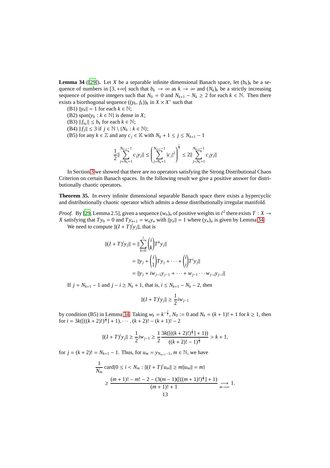<span id="page-13-0"></span>**Lemma 34** ([\[29\]](#page-14-28)). Let *X* be a separable infinite dimensional Banach space, let  $(b_k)_k$  be a sequence of numbers in  $[3, +\infty[$  such that  $b_k \to \infty$  as  $k \to \infty$  and  $(N_k)_k$  be a strictly increasing sequence of positive integers such that  $N_0 = 0$  and  $N_{k+1} - N_k \ge 2$  for each  $k \in \mathbb{N}$ . Then there exists a biorthogonal sequence  $((y_k, f_k))_k$  in  $X \times X^*$  such that

(B1)  $||y_k|| = 1$  for each  $k \in \mathbb{N}$ ;

(B2) span $\{y_k : k \in \mathbb{N}\}\$ is dense in *X*;

- (B3)  $||f_{n_k}|| \le b_k$  for each  $k \in \mathbb{N}$ ;
- (B4)  $||f_j|| \leq 3$  if  $j \in \mathbb{N} \setminus \{N_k : k \in \mathbb{N}\};$
- (B5) for any  $k \in \mathbb{Z}$  and any  $c_j \in \mathbb{K}$  with  $N_k + 1 \le j \le N_{k+1} 1$

$$
\frac{1}{2} \bigl\|\sum_{j=N_k+1}^{N_{k+1}-1} c_j y_j\bigr\| \leq \left(\sum_{j=N_k+1}^{N_{k+1}-1} |c_j|^2\right)^{\frac{1}{2}} \leq 2 \bigl\|\sum_{j=N_k+1}^{N_{k+1}-1} c_j y_j\bigr\|
$$

In Section [3](#page-5-0) we showed that there are no operators satisfying the Strong Distributional Chaos Criterion on certain Banach spaces. In the following result we give a positive answer for distributionally chaotic operators.

**Theorem 35.** In every infinite dimensional separable Banach space there exists a hypercyclic and distributionally chaotic operator which admits a dense distributionally irregular manifold.

*Proof.* By [\[29,](#page-14-28) Lemma 2.5], given a sequence  $(w_n)_n$  of positive weights in  $\ell^2$  there exists  $T : X \to Y$ *X* satisfying that  $Ty_0 = 0$  and  $Ty_{n+1} = w_n y_n$  with  $||y_n|| = 1$  where  $(y_n)_n$  is given by Lemma [34.](#page-13-0)

We need to compute  $||(I + T)^i y_j||$ , that is

$$
||(I + T)^{i}y_{j}|| = ||\sum_{k=0}^{i} {i \choose k} T^{k}y_{j}||
$$
  
=  $||y_{j} + {i \choose 1} Ty_{j} + \dots + {i \choose i} T^{i}y_{j}||$   
=  $||y_{j} + iw_{j-1}y_{j-1} + \dots + w_{j-1} \dots w_{j-i}y_{j-i}||$ 

If  $j = N_{k+1} - 1$  and  $j - i \ge N_k + 1$ , that is,  $i \le N_{k+1} - N_k - 2$ , then

$$
||(I+T)^{i}y_{j}|| \geq \frac{1}{2}iw_{j-1}
$$

by condition (B5) in Lemma [34.](#page-13-0) Taking  $w_k = k^{-\frac{2}{3}}$ ,  $N_0 := 0$  and  $N_k = (k + 1)! + 1$  for  $k ≥ 1$ , then for  $i = 3k([(k+2)!)^{\frac{2}{3}}] + 1), \cdots, (k+2)! - (k+1)! - 2$ 

$$
||(I+T)^j y_j|| \geq \frac{1}{2} i w_{j-1} \geq \frac{1}{2} \frac{3k([( (k+2)!)^{\frac{2}{3}}]+1))}{((k+2)!-1)^{\frac{2}{3}}} > k+1,
$$

for  $j = (k + 2)! = N_{k+1} - 1$ . Thus, for  $u_m = y_{N_{m+1}-1}$ ,  $m \in \mathbb{N}$ , we have

$$
\frac{1}{N_m} \operatorname{card}\{0 \le i < N_m : \|(I+T)^i u_m\| \ge m\|u_m\| = m\}
$$
\n
$$
\ge \frac{(m+1)! - m! - 2 - (3(m-1)([((m+1)!)^{\frac{2}{3}}] + 1)}{(m+1)! + 1} \longrightarrow_{m \to \infty} 1.
$$